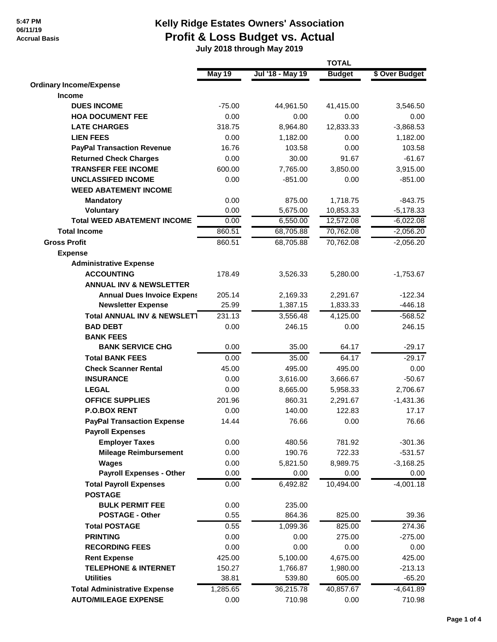#### **5:47 PM 06/11/19 Accrual Basis**

## **Kelly Ridge Estates Owners' Association Profit & Loss Budget vs. Actual**

 **July 2018 through May 2019**

|                                                 |          | <b>TOTAL</b>     |               |                |  |
|-------------------------------------------------|----------|------------------|---------------|----------------|--|
|                                                 | May 19   | Jul '18 - May 19 | <b>Budget</b> | \$ Over Budget |  |
| <b>Ordinary Income/Expense</b>                  |          |                  |               |                |  |
| <b>Income</b>                                   |          |                  |               |                |  |
| <b>DUES INCOME</b>                              | $-75.00$ | 44,961.50        | 41,415.00     | 3,546.50       |  |
| <b>HOA DOCUMENT FEE</b>                         | 0.00     | 0.00             | 0.00          | 0.00           |  |
| <b>LATE CHARGES</b>                             | 318.75   | 8,964.80         | 12,833.33     | $-3,868.53$    |  |
| <b>LIEN FEES</b>                                | 0.00     | 1,182.00         | 0.00          | 1,182.00       |  |
| <b>PayPal Transaction Revenue</b>               | 16.76    | 103.58           | 0.00          | 103.58         |  |
| <b>Returned Check Charges</b>                   | 0.00     | 30.00            | 91.67         | $-61.67$       |  |
| <b>TRANSFER FEE INCOME</b>                      | 600.00   | 7,765.00         | 3,850.00      | 3,915.00       |  |
| <b>UNCLASSIFED INCOME</b>                       | 0.00     | $-851.00$        | 0.00          | $-851.00$      |  |
| <b>WEED ABATEMENT INCOME</b>                    |          |                  |               |                |  |
| <b>Mandatory</b>                                | 0.00     | 875.00           | 1,718.75      | $-843.75$      |  |
| <b>Voluntary</b>                                | 0.00     | 5,675.00         | 10,853.33     | $-5,178.33$    |  |
| <b>Total WEED ABATEMENT INCOME</b>              | 0.00     | 6,550.00         | 12,572.08     | $-6,022.08$    |  |
| <b>Total Income</b>                             | 860.51   | 68,705.88        | 70,762.08     | $-2,056.20$    |  |
| <b>Gross Profit</b>                             | 860.51   | 68,705.88        | 70,762.08     | $-2,056.20$    |  |
| <b>Expense</b>                                  |          |                  |               |                |  |
| <b>Administrative Expense</b>                   |          |                  |               |                |  |
| <b>ACCOUNTING</b>                               | 178.49   | 3,526.33         | 5,280.00      | $-1,753.67$    |  |
| <b>ANNUAL INV &amp; NEWSLETTER</b>              |          |                  |               |                |  |
| <b>Annual Dues Invoice Expens</b>               | 205.14   | 2,169.33         | 2,291.67      | $-122.34$      |  |
| <b>Newsletter Expense</b>                       | 25.99    | 1,387.15         | 1,833.33      | $-446.18$      |  |
| <b>Total ANNUAL INV &amp; NEWSLET1</b>          | 231.13   | 3,556.48         | 4,125.00      | $-568.52$      |  |
| <b>BAD DEBT</b>                                 | 0.00     | 246.15           | 0.00          | 246.15         |  |
| <b>BANK FEES</b>                                |          |                  |               |                |  |
| <b>BANK SERVICE CHG</b>                         | 0.00     | 35.00            | 64.17         | $-29.17$       |  |
| <b>Total BANK FEES</b>                          | 0.00     | 35.00            | 64.17         | $-29.17$       |  |
| <b>Check Scanner Rental</b>                     | 45.00    | 495.00           | 495.00        | 0.00           |  |
| <b>INSURANCE</b>                                | 0.00     | 3,616.00         | 3,666.67      | $-50.67$       |  |
| <b>LEGAL</b>                                    | 0.00     | 8,665.00         | 5,958.33      | 2,706.67       |  |
| <b>OFFICE SUPPLIES</b>                          | 201.96   | 860.31           | 2,291.67      | $-1,431.36$    |  |
| <b>P.O.BOX RENT</b>                             | 0.00     | 140.00           | 122.83        | 17.17          |  |
| <b>PayPal Transaction Expense</b>               | 14.44    | 76.66            | 0.00          | 76.66          |  |
| <b>Payroll Expenses</b>                         |          |                  |               |                |  |
| <b>Employer Taxes</b>                           | 0.00     | 480.56           | 781.92        | $-301.36$      |  |
| <b>Mileage Reimbursement</b>                    | 0.00     | 190.76           | 722.33        | $-531.57$      |  |
| Wages                                           | 0.00     | 5,821.50         | 8,989.75      | $-3,168.25$    |  |
| <b>Payroll Expenses - Other</b>                 | 0.00     | 0.00             | 0.00          | 0.00           |  |
| <b>Total Payroll Expenses</b><br><b>POSTAGE</b> | 0.00     | 6,492.82         | 10,494.00     | $-4,001.18$    |  |
| <b>BULK PERMIT FEE</b>                          | 0.00     | 235.00           |               |                |  |
| <b>POSTAGE - Other</b>                          | 0.55     | 864.36           | 825.00        | 39.36          |  |
| <b>Total POSTAGE</b>                            | 0.55     | 1,099.36         | 825.00        | 274.36         |  |
| <b>PRINTING</b>                                 | 0.00     | 0.00             | 275.00        | $-275.00$      |  |
| <b>RECORDING FEES</b>                           | 0.00     | 0.00             | 0.00          | 0.00           |  |
| <b>Rent Expense</b>                             | 425.00   | 5,100.00         | 4,675.00      | 425.00         |  |
| <b>TELEPHONE &amp; INTERNET</b>                 | 150.27   | 1,766.87         | 1,980.00      | $-213.13$      |  |
| <b>Utilities</b>                                | 38.81    | 539.80           | 605.00        | $-65.20$       |  |
| <b>Total Administrative Expense</b>             | 1,285.65 | 36,215.78        | 40,857.67     | $-4,641.89$    |  |
| <b>AUTO/MILEAGE EXPENSE</b>                     | 0.00     | 710.98           | 0.00          | 710.98         |  |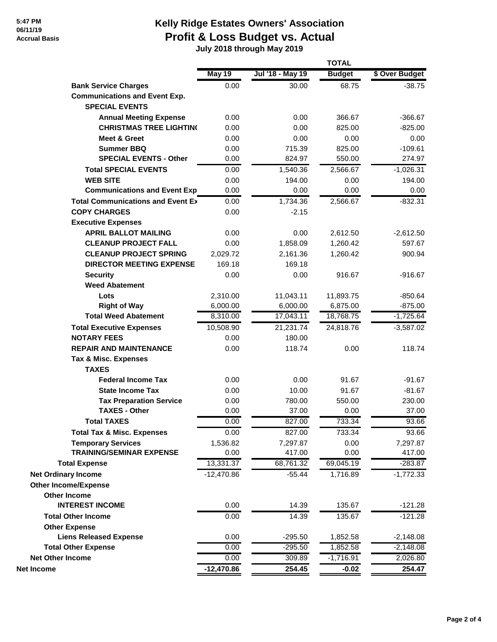#### **5:47 PM 06/11/19 Accrual Basis**

# **Kelly Ridge Estates Owners' Association Profit & Loss Budget vs. Actual**

 **July 2018 through May 2019**

|                                          | <b>TOTAL</b> |                  |               |                |
|------------------------------------------|--------------|------------------|---------------|----------------|
|                                          | May 19       | Jul '18 - May 19 | <b>Budget</b> | \$ Over Budget |
| <b>Bank Service Charges</b>              | 0.00         | 30.00            | 68.75         | $-38.75$       |
| <b>Communications and Event Exp.</b>     |              |                  |               |                |
| <b>SPECIAL EVENTS</b>                    |              |                  |               |                |
| <b>Annual Meeting Expense</b>            | 0.00         | 0.00             | 366.67        | $-366.67$      |
| <b>CHRISTMAS TREE LIGHTING</b>           | 0.00         | 0.00             | 825.00        | $-825.00$      |
| <b>Meet &amp; Greet</b>                  | 0.00         | 0.00             | 0.00          | 0.00           |
| <b>Summer BBQ</b>                        | 0.00         | 715.39           | 825.00        | $-109.61$      |
| <b>SPECIAL EVENTS - Other</b>            | 0.00         | 824.97           | 550.00        | 274.97         |
| <b>Total SPECIAL EVENTS</b>              | 0.00         | 1,540.36         | 2,566.67      | $-1,026.31$    |
| <b>WEB SITE</b>                          | 0.00         | 194.00           | 0.00          | 194.00         |
| <b>Communications and Event Exp</b>      | 0.00         | 0.00             | 0.00          | 0.00           |
| <b>Total Communications and Event Ex</b> | 0.00         | 1,734.36         | 2,566.67      | $-832.31$      |
| <b>COPY CHARGES</b>                      | 0.00         | $-2.15$          |               |                |
| <b>Executive Expenses</b>                |              |                  |               |                |
| <b>APRIL BALLOT MAILING</b>              | 0.00         | 0.00             | 2,612.50      | $-2,612.50$    |
| <b>CLEANUP PROJECT FALL</b>              | 0.00         | 1,858.09         | 1,260.42      | 597.67         |
| <b>CLEANUP PROJECT SPRING</b>            | 2,029.72     | 2,161.36         | 1,260.42      | 900.94         |
| <b>DIRECTOR MEETING EXPENSE</b>          | 169.18       | 169.18           |               |                |
| <b>Security</b>                          | 0.00         | 0.00             | 916.67        | $-916.67$      |
| <b>Weed Abatement</b>                    |              |                  |               |                |
| Lots                                     | 2,310.00     | 11,043.11        | 11,893.75     | $-850.64$      |
| <b>Right of Way</b>                      | 6,000.00     | 6,000.00         | 6,875.00      | $-875.00$      |
| <b>Total Weed Abatement</b>              | 8,310.00     | 17,043.11        | 18,768.75     | $-1,725.64$    |
| <b>Total Executive Expenses</b>          | 10,508.90    | 21,231.74        | 24,818.76     | $-3,587.02$    |
| <b>NOTARY FEES</b>                       | 0.00         | 180.00           |               |                |
| <b>REPAIR AND MAINTENANCE</b>            | 0.00         | 118.74           | 0.00          | 118.74         |
| <b>Tax &amp; Misc. Expenses</b>          |              |                  |               |                |
| <b>TAXES</b>                             |              |                  |               |                |
| <b>Federal Income Tax</b>                | 0.00         | 0.00             | 91.67         | $-91.67$       |
| <b>State Income Tax</b>                  | 0.00         | 10.00            | 91.67         | $-81.67$       |
| <b>Tax Preparation Service</b>           | 0.00         | 780.00           | 550.00        | 230.00         |
| <b>TAXES - Other</b>                     | 0.00         | 37.00            | 0.00          | 37.00          |
| <b>Total TAXES</b>                       | 0.00         | 827.00           | 733.34        | 93.66          |
| <b>Total Tax &amp; Misc. Expenses</b>    | 0.00         | 827.00           | 733.34        | 93.66          |
| <b>Temporary Services</b>                | 1,536.82     | 7,297.87         | 0.00          | 7,297.87       |
| <b>TRAINING/SEMINAR EXPENSE</b>          | 0.00         | 417.00           | 0.00          | 417.00         |
| <b>Total Expense</b>                     | 13,331.37    | 68,761.32        | 69,045.19     | $-283.87$      |
| <b>Net Ordinary Income</b>               | $-12,470.86$ | $-55.44$         | 1,716.89      | $-1,772.33$    |
| <b>Other Income/Expense</b>              |              |                  |               |                |
| <b>Other Income</b>                      |              |                  |               |                |
| <b>INTEREST INCOME</b>                   | 0.00         | 14.39            | 135.67        | $-121.28$      |
| <b>Total Other Income</b>                | 0.00         | 14.39            | 135.67        | $-121.28$      |
| <b>Other Expense</b>                     |              |                  |               |                |
| <b>Liens Released Expense</b>            | 0.00         | $-295.50$        | 1,852.58      | $-2,148.08$    |
| <b>Total Other Expense</b>               | 0.00         | $-295.50$        | 1,852.58      | $-2,148.08$    |
| <b>Net Other Income</b>                  | 0.00         | 309.89           | $-1,716.91$   | 2,026.80       |
| <b>Net Income</b>                        | $-12,470.86$ | 254.45           | $-0.02$       | 254.47         |
|                                          |              |                  |               |                |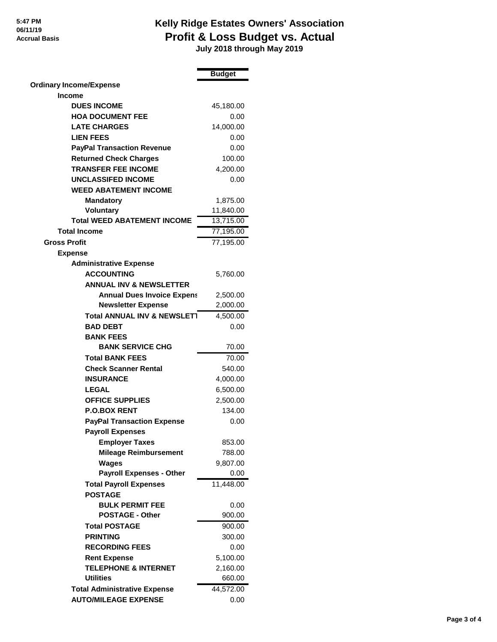### **Kelly Ridge Estates Owners' Association Profit & Loss Budget vs. Actual**

 **July 2018 through May 2019**

|                                                       | <b>Budget</b> |
|-------------------------------------------------------|---------------|
| <b>Ordinary Income/Expense</b>                        |               |
| <b>Income</b>                                         |               |
| <b>DUES INCOME</b>                                    | 45,180.00     |
| <b>HOA DOCUMENT FEE</b>                               | 0.00          |
| <b>LATE CHARGES</b>                                   | 14,000.00     |
| <b>LIEN FEES</b>                                      | 0.00          |
| <b>PayPal Transaction Revenue</b>                     | 0.00          |
| <b>Returned Check Charges</b>                         | 100.00        |
| <b>TRANSFER FEE INCOME</b>                            | 4,200.00      |
| <b>UNCLASSIFED INCOME</b>                             | 0.00          |
| <b>WEED ABATEMENT INCOME</b>                          |               |
| <b>Mandatory</b>                                      | 1,875.00      |
| <b>Voluntary</b>                                      | 11,840.00     |
| <b>Total WEED ABATEMENT INCOME</b>                    | 13,715.00     |
| <b>Total Income</b>                                   | 77,195.00     |
| <b>Gross Profit</b>                                   | 77,195.00     |
| <b>Expense</b>                                        |               |
| <b>Administrative Expense</b>                         |               |
| <b>ACCOUNTING</b>                                     | 5,760.00      |
| <b>ANNUAL INV &amp; NEWSLETTER</b>                    |               |
| <b>Annual Dues Invoice Expens</b>                     | 2,500.00      |
| <b>Newsletter Expense</b>                             | 2,000.00      |
| <b>Total ANNUAL INV &amp; NEWSLET1</b>                | 4,500.00      |
| <b>BAD DEBT</b>                                       | 0.00          |
| <b>BANK FEES</b>                                      |               |
| <b>BANK SERVICE CHG</b>                               | 70.00         |
| <b>Total BANK FEES</b>                                | 70.00         |
| <b>Check Scanner Rental</b>                           | 540.00        |
| <b>INSURANCE</b>                                      | 4,000.00      |
| <b>LEGAL</b>                                          | 6,500.00      |
| <b>OFFICE SUPPLIES</b>                                | 2,500.00      |
| <b>P.O.BOX RENT</b>                                   | 134.00        |
| <b>PayPal Transaction Expense</b>                     | 0.00          |
| <b>Payroll Expenses</b>                               |               |
|                                                       | 853.00        |
| <b>Employer Taxes</b><br><b>Mileage Reimbursement</b> | 788.00        |
| Wages                                                 | 9,807.00      |
| <b>Payroll Expenses - Other</b>                       | 0.00          |
| <b>Total Payroll Expenses</b>                         | 11,448.00     |
| <b>POSTAGE</b>                                        |               |
| <b>BULK PERMIT FEE</b>                                | 0.00          |
| <b>POSTAGE - Other</b>                                | 900.00        |
|                                                       |               |
| <b>Total POSTAGE</b>                                  | 900.00        |
| <b>PRINTING</b>                                       | 300.00        |
| <b>RECORDING FEES</b>                                 | 0.00          |
| <b>Rent Expense</b>                                   | 5,100.00      |
| <b>TELEPHONE &amp; INTERNET</b>                       | 2,160.00      |
| <b>Utilities</b>                                      | 660.00        |
| <b>Total Administrative Expense</b>                   | 44,572.00     |
| <b>AUTO/MILEAGE EXPENSE</b>                           | 0.00          |